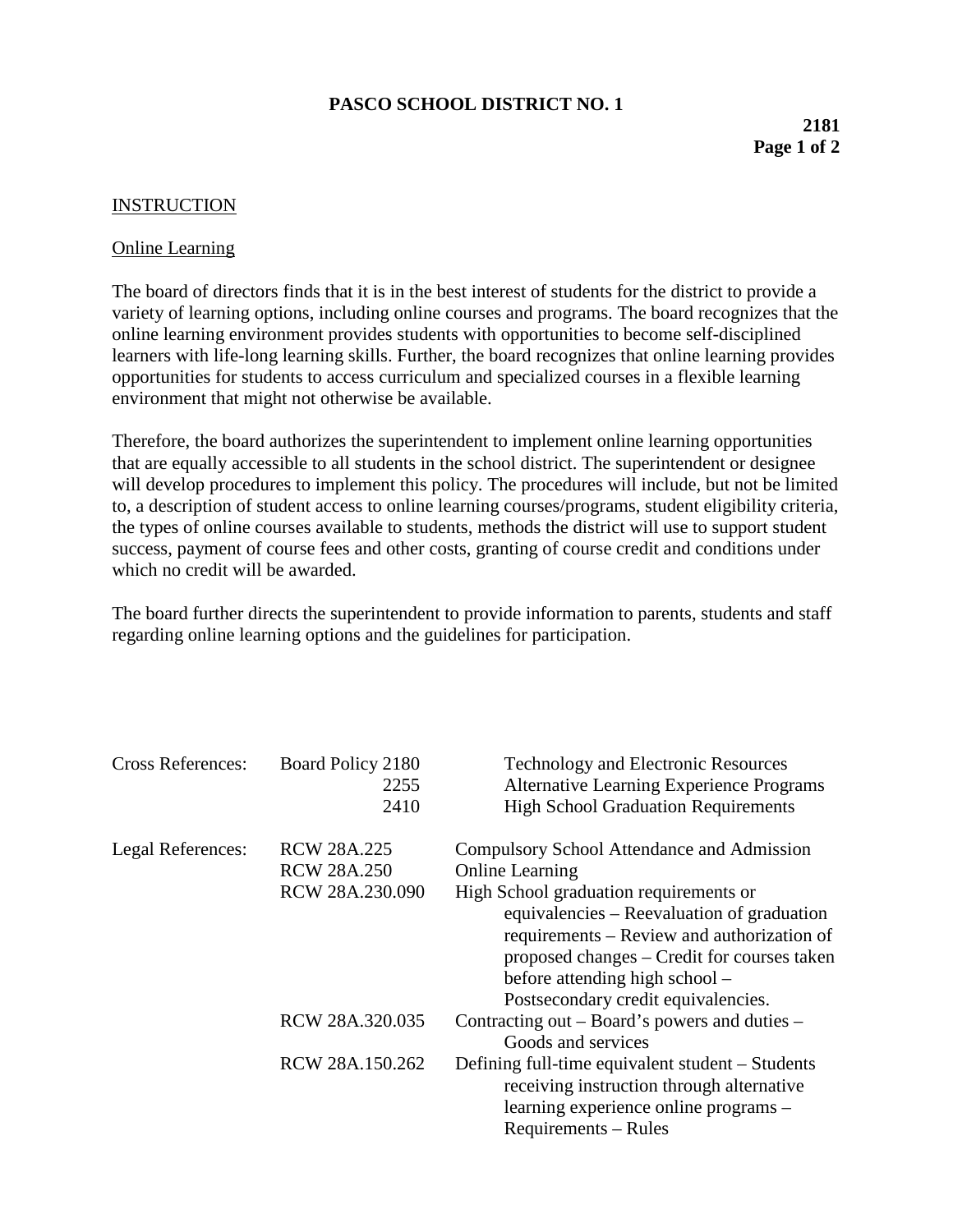## **PASCO SCHOOL DISTRICT NO. 1**

## **2181 Page 1 of 2**

## INSTRUCTION

## Online Learning

The board of directors finds that it is in the best interest of students for the district to provide a variety of learning options, including online courses and programs. The board recognizes that the online learning environment provides students with opportunities to become self-disciplined learners with life-long learning skills. Further, the board recognizes that online learning provides opportunities for students to access curriculum and specialized courses in a flexible learning environment that might not otherwise be available.

Therefore, the board authorizes the superintendent to implement online learning opportunities that are equally accessible to all students in the school district. The superintendent or designee will develop procedures to implement this policy. The procedures will include, but not be limited to, a description of student access to online learning courses/programs, student eligibility criteria, the types of online courses available to students, methods the district will use to support student success, payment of course fees and other costs, granting of course credit and conditions under which no credit will be awarded.

The board further directs the superintendent to provide information to parents, students and staff regarding online learning options and the guidelines for participation.

| <b>Cross References:</b> | Board Policy 2180<br>2255<br>2410        | <b>Technology and Electronic Resources</b><br><b>Alternative Learning Experience Programs</b><br><b>High School Graduation Requirements</b>                                                                                                                |
|--------------------------|------------------------------------------|------------------------------------------------------------------------------------------------------------------------------------------------------------------------------------------------------------------------------------------------------------|
| Legal References:        | <b>RCW 28A.225</b><br><b>RCW 28A.250</b> | Compulsory School Attendance and Admission<br><b>Online Learning</b>                                                                                                                                                                                       |
|                          | RCW 28A.230.090                          | High School graduation requirements or<br>equivalencies – Reevaluation of graduation<br>requirements – Review and authorization of<br>proposed changes – Credit for courses taken<br>before attending high school –<br>Postsecondary credit equivalencies. |
|                          | RCW 28A.320.035                          | Contracting out – Board's powers and duties –<br>Goods and services                                                                                                                                                                                        |
|                          | RCW 28A.150.262                          | Defining full-time equivalent student – Students<br>receiving instruction through alternative<br>learning experience online programs -<br>Requirements – Rules                                                                                             |